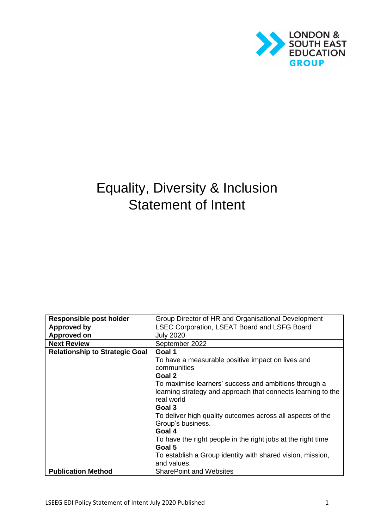

# Equality, Diversity & Inclusion Statement of Intent

| <b>Responsible post holder</b>        | Group Director of HR and Organisational Development          |
|---------------------------------------|--------------------------------------------------------------|
| <b>Approved by</b>                    | <b>LSEC Corporation, LSEAT Board and LSFG Board</b>          |
| <b>Approved on</b>                    | <b>July 2020</b>                                             |
| <b>Next Review</b>                    | September 2022                                               |
| <b>Relationship to Strategic Goal</b> | Goal 1                                                       |
|                                       | To have a measurable positive impact on lives and            |
|                                       | communities                                                  |
|                                       | Goal 2                                                       |
|                                       | To maximise learners' success and ambitions through a        |
|                                       | learning strategy and approach that connects learning to the |
|                                       | real world                                                   |
|                                       | Goal 3                                                       |
|                                       | To deliver high quality outcomes across all aspects of the   |
|                                       | Group's business.                                            |
|                                       | Goal 4                                                       |
|                                       | To have the right people in the right jobs at the right time |
|                                       | Goal 5                                                       |
|                                       | To establish a Group identity with shared vision, mission,   |
|                                       | and values.                                                  |
| <b>Publication Method</b>             | <b>SharePoint and Websites</b>                               |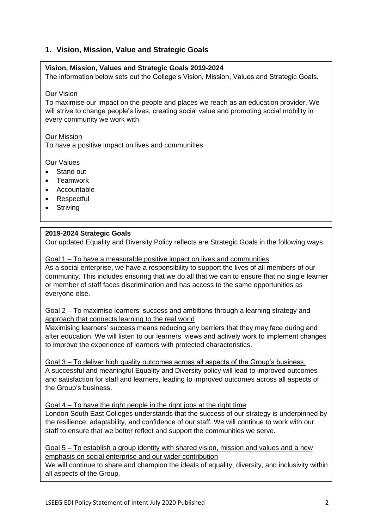## **1. Vision, Mission, Value and Strategic Goals**

#### **Vision, Mission, Values and Strategic Goals 2019-2024**

The information below sets out the College's Vision, Mission, Values and Strategic Goals.

#### Our Vision

To maximise our impact on the people and places we reach as an education provider. We will strive to change people's lives, creating social value and promoting social mobility in every community we work with.

#### Our Mission

To have a positive impact on lives and communities.

#### Our Values

- Stand out
- Teamwork
- Accountable
- Respectful
- Striving

#### **2019-2024 Strategic Goals**

Our updated Equality and Diversity Policy reflects are Strategic Goals in the following ways.

#### Goal 1 – To have a measurable positive impact on lives and communities

As a social enterprise, we have a responsibility to support the lives of all members of our community. This includes ensuring that we do all that we can to ensure that no single learner or member of staff faces discrimination and has access to the same opportunities as everyone else.

#### Goal 2 – To maximise learners' success and ambitions through a learning strategy and approach that connects learning to the real world

Maximising learners' success means reducing any barriers that they may face during and after education. We will listen to our learners' views and actively work to implement changes to improve the experience of learners with protected characteristics.

Goal 3 – To deliver high quality outcomes across all aspects of the Group's business. A successful and meaningful Equality and Diversity policy will lead to improved outcomes and satisfaction for staff and learners, leading to improved outcomes across all aspects of the Group's business.

#### Goal 4 – To have the right people in the right jobs at the right time

London South East Colleges understands that the success of our strategy is underpinned by the resilience, adaptability, and confidence of our staff. We will continue to work with our staff to ensure that we better reflect and support the communities we serve.

#### Goal 5 – To establish a group identity with shared vision, mission and values and a new emphasis on social enterprise and our wider contribution

We will continue to share and champion the ideals of equality, diversity, and inclusivity within all aspects of the Group.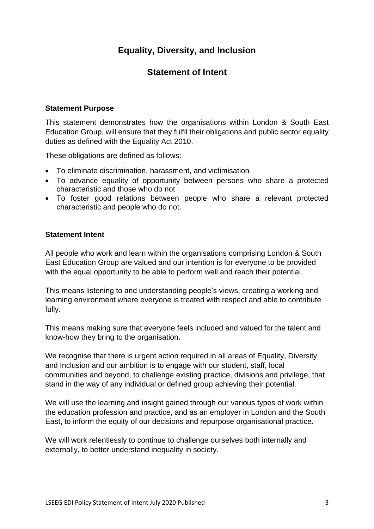# **Equality, Diversity, and Inclusion**

# **Statement of Intent**

#### **Statement Purpose**

This statement demonstrates how the organisations within London & South East Education Group, will ensure that they fulfil their obligations and public sector equality duties as defined with the Equality Act 2010.

These obligations are defined as follows:

- To eliminate discrimination, harassment, and victimisation
- To advance equality of opportunity between persons who share a protected characteristic and those who do not
- To foster good relations between people who share a relevant protected characteristic and people who do not.

#### **Statement Intent**

All people who work and learn within the organisations comprising London & South East Education Group are valued and our intention is for everyone to be provided with the equal opportunity to be able to perform well and reach their potential.

This means listening to and understanding people's views, creating a working and learning environment where everyone is treated with respect and able to contribute fully.

This means making sure that everyone feels included and valued for the talent and know-how they bring to the organisation.

We recognise that there is urgent action required in all areas of Equality, Diversity and Inclusion and our ambition is to engage with our student, staff, local communities and beyond, to challenge existing practice, divisions and privilege, that stand in the way of any individual or defined group achieving their potential.

We will use the learning and insight gained through our various types of work within the education profession and practice, and as an employer in London and the South East, to inform the equity of our decisions and repurpose organisational practice.

We will work relentlessly to continue to challenge ourselves both internally and externally, to better understand inequality in society.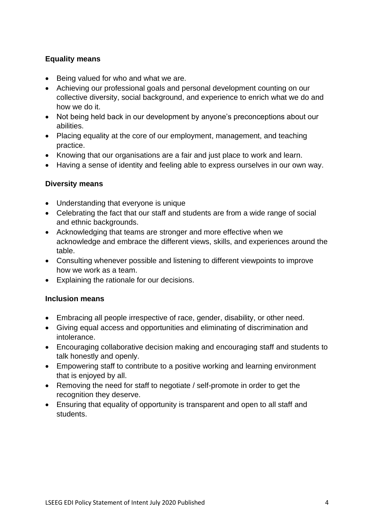## **Equality means**

- Being valued for who and what we are.
- Achieving our professional goals and personal development counting on our collective diversity, social background, and experience to enrich what we do and how we do it.
- Not being held back in our development by anyone's preconceptions about our abilities.
- Placing equality at the core of our employment, management, and teaching practice.
- Knowing that our organisations are a fair and just place to work and learn.
- Having a sense of identity and feeling able to express ourselves in our own way.

### **Diversity means**

- Understanding that everyone is unique
- Celebrating the fact that our staff and students are from a wide range of social and ethnic backgrounds.
- Acknowledging that teams are stronger and more effective when we acknowledge and embrace the different views, skills, and experiences around the table.
- Consulting whenever possible and listening to different viewpoints to improve how we work as a team.
- Explaining the rationale for our decisions.

#### **Inclusion means**

- Embracing all people irrespective of race, gender, disability, or other need.
- Giving equal access and opportunities and eliminating of discrimination and intolerance.
- Encouraging collaborative decision making and encouraging staff and students to talk honestly and openly.
- Empowering staff to contribute to a positive working and learning environment that is enjoyed by all.
- Removing the need for staff to negotiate / self-promote in order to get the recognition they deserve.
- Ensuring that equality of opportunity is transparent and open to all staff and students.